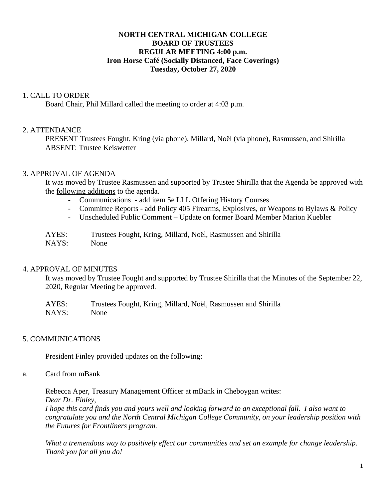## **NORTH CENTRAL MICHIGAN COLLEGE BOARD OF TRUSTEES REGULAR MEETING 4:00 p.m. Iron Horse Café (Socially Distanced, Face Coverings) Tuesday, October 27, 2020**

### 1. CALL TO ORDER

Board Chair, Phil Millard called the meeting to order at 4:03 p.m.

### 2. ATTENDANCE

PRESENT Trustees Fought, Kring (via phone), Millard, Noël (via phone), Rasmussen, and Shirilla ABSENT: Trustee Keiswetter

### 3. APPROVAL OF AGENDA

It was moved by Trustee Rasmussen and supported by Trustee Shirilla that the Agenda be approved with the following additions to the agenda.

- Communications add item 5e LLL Offering History Courses
- Committee Reports add Policy 405 Firearms, Explosives, or Weapons to Bylaws & Policy
- Unscheduled Public Comment Update on former Board Member Marion Kuebler

| AYES: | Trustees Fought, Kring, Millard, Noël, Rasmussen and Shirilla |
|-------|---------------------------------------------------------------|
| NAYS: | None                                                          |

#### 4. APPROVAL OF MINUTES

It was moved by Trustee Fought and supported by Trustee Shirilla that the Minutes of the September 22, 2020, Regular Meeting be approved.

AYES: Trustees Fought, Kring, Millard, Noël, Rasmussen and Shirilla NAYS: None

#### 5. COMMUNICATIONS

President Finley provided updates on the following:

#### a. Card from mBank

Rebecca Aper, Treasury Management Officer at mBank in Cheboygan writes: *Dear Dr. Finley,* 

*I hope this card finds you and yours well and looking forward to an exceptional fall. I also want to congratulate you and the North Central Michigan College Community, on your leadership position with the Futures for Frontliners program.* 

*What a tremendous way to positively effect our communities and set an example for change leadership. Thank you for all you do!*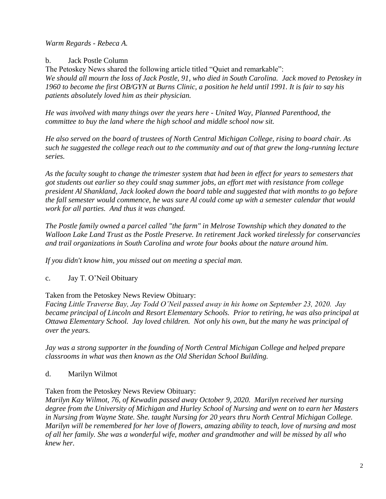*Warm Regards - Rebeca A.*

b. Jack Postle Column

The Petoskey News shared the following article titled "Quiet and remarkable": *We should all mourn the loss of Jack Postle, 91, who died in South Carolina. Jack moved to Petoskey in 1960 to become the first OB/GYN at Burns Clinic, a position he held until 1991. It is fair to say his patients absolutely loved him as their physician.* 

*He was involved with many things over the years here - United Way, Planned Parenthood, the committee to buy the land where the high school and middle school now sit.* 

*He also served on the board of trustees of North Central Michigan College, rising to board chair. As such he suggested the college reach out to the community and out of that grew the long-running lecture series.* 

*As the faculty sought to change the trimester system that had been in effect for years to semesters that got students out earlier so they could snag summer jobs, an effort met with resistance from college president Al Shankland, Jack looked down the board table and suggested that with months to go before the fall semester would commence, he was sure Al could come up with a semester calendar that would work for all parties. And thus it was changed.*

*The Postle family owned a parcel called "the farm" in Melrose Township which they donated to the Walloon Lake Land Trust as the Postle Preserve. In retirement Jack worked tirelessly for conservancies and trail organizations in South Carolina and wrote four books about the nature around him.* 

*If you didn't know him, you missed out on meeting a special man.*

c. Jay T. O'Neil Obituary

# Taken from the Petoskey News Review Obituary:

*Facing Little Traverse Bay, Jay Todd O'Neil passed away in his home on September 23, 2020. Jay became principal of Lincoln and Resort Elementary Schools. Prior to retiring, he was also principal at Ottawa Elementary School. Jay loved children. Not only his own, but the many he was principal of over the years.* 

*Jay was a strong supporter in the founding of North Central Michigan College and helped prepare classrooms in what was then known as the Old Sheridan School Building.* 

d. Marilyn Wilmot

## Taken from the Petoskey News Review Obituary:

*Marilyn Kay Wilmot, 76, of Kewadin passed away October 9, 2020. Marilyn received her nursing degree from the University of Michigan and Hurley School of Nursing and went on to earn her Masters in Nursing from Wayne State. She. taught Nursing for 20 years thru North Central Michigan College. Marilyn will be remembered for her love of flowers, amazing ability to teach, love of nursing and most of all her family. She was a wonderful wife, mother and grandmother and will be missed by all who knew her.*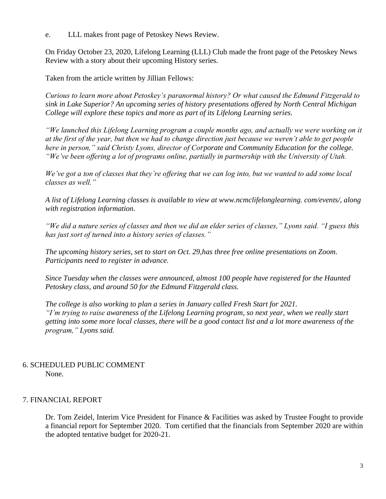e. LLL makes front page of Petoskey News Review.

On Friday October 23, 2020, Lifelong Learning (LLL) Club made the front page of the Petoskey News Review with a story about their upcoming History series.

Taken from the article written by Jillian Fellows:

*Curious to learn more about Petoskey's paranormal history? Or what caused the Edmund Fitzgerald to sink in Lake Superior? An upcoming series of history presentations offered by North Central Michigan College will explore these topics and more as part of its Lifelong Learning series.*

*"We launched this Lifelong Learning program a couple months ago, and actually we were working on it at the first of the year, but then we had to change direction just because we weren't able to get people here in person," said Christy Lyons, director of Corporate and Community Education for the college. "We've been offering a lot of programs online, partially in partnership with the University of Utah.* 

*We've got a ton of classes that they're offering that we can log into, but we wanted to add some local classes as well."*

*A list of Lifelong Learning classes is available to view at www.ncmclifelonglearning. com/events/, along with registration information.*

*"We did a nature series of classes and then we did an elder series of classes," Lyons said. "I guess this has just sort of turned into a history series of classes."*

*The upcoming history series, set to start on Oct. 29,has three free online presentations on Zoom. Participants need to register in advance.*

*Since Tuesday when the classes were announced, almost 100 people have registered for the Haunted Petoskey class, and around 50 for the Edmund Fitzgerald class.*

*The college is also working to plan a series in January called Fresh Start for 2021. "I'm trying to raise awareness of the Lifelong Learning program, so next year, when we really start getting into some more local classes, there will be a good contact list and a lot more awareness of the program," Lyons said.*

## 6. SCHEDULED PUBLIC COMMENT None.

## 7. FINANCIAL REPORT

Dr. Tom Zeidel, Interim Vice President for Finance & Facilities was asked by Trustee Fought to provide a financial report for September 2020. Tom certified that the financials from September 2020 are within the adopted tentative budget for 2020-21.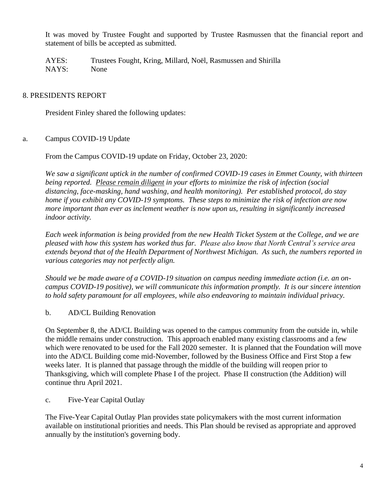It was moved by Trustee Fought and supported by Trustee Rasmussen that the financial report and statement of bills be accepted as submitted.

AYES: Trustees Fought, Kring, Millard, Noël, Rasmussen and Shirilla NAYS: None

# 8. PRESIDENTS REPORT

President Finley shared the following updates:

a. Campus COVID-19 Update

From the Campus COVID-19 update on Friday, October 23, 2020:

*We saw a significant uptick in the number of confirmed COVID-19 cases in Emmet County, with thirteen being reported. Please remain diligent in your efforts to minimize the risk of infection (social distancing, face-masking, hand washing, and health monitoring). Per established protocol, do stay home if you exhibit any COVID-19 symptoms. These steps to minimize the risk of infection are now more important than ever as inclement weather is now upon us, resulting in significantly increased indoor activity.*

*Each week information is being provided from the new Health Ticket System at the College, and we are pleased with how this system has worked thus far. Please also know that North Central's service area extends beyond that of the Health Department of Northwest Michigan. As such, the numbers reported in various categories may not perfectly align.*

*Should we be made aware of a COVID-19 situation on campus needing immediate action (i.e. an oncampus COVID-19 positive), we will communicate this information promptly. It is our sincere intention to hold safety paramount for all employees, while also endeavoring to maintain individual privacy.* 

b. AD/CL Building Renovation

On September 8, the AD/CL Building was opened to the campus community from the outside in, while the middle remains under construction. This approach enabled many existing classrooms and a few which were renovated to be used for the Fall 2020 semester. It is planned that the Foundation will move into the AD/CL Building come mid-November, followed by the Business Office and First Stop a few weeks later. It is planned that passage through the middle of the building will reopen prior to Thanksgiving, which will complete Phase I of the project. Phase II construction (the Addition) will continue thru April 2021.

c. Five-Year Capital Outlay

The Five-Year Capital Outlay Plan provides state policymakers with the most current information available on institutional priorities and needs. This Plan should be revised as appropriate and approved annually by the institution's governing body.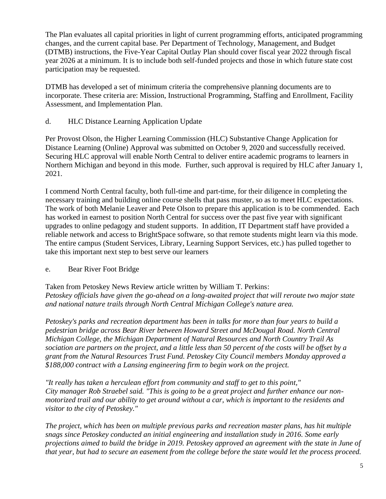The Plan evaluates all capital priorities in light of current programming efforts, anticipated programming changes, and the current capital base. Per Department of Technology, Management, and Budget (DTMB) instructions, the Five-Year Capital Outlay Plan should cover fiscal year 2022 through fiscal year 2026 at a minimum. It is to include both self-funded projects and those in which future state cost participation may be requested.

DTMB has developed a set of minimum criteria the comprehensive planning documents are to incorporate. These criteria are: Mission, Instructional Programming, Staffing and Enrollment, Facility Assessment, and Implementation Plan.

d. HLC Distance Learning Application Update

Per Provost Olson, the Higher Learning Commission (HLC) Substantive Change Application for Distance Learning (Online) Approval was submitted on October 9, 2020 and successfully received. Securing HLC approval will enable North Central to deliver entire academic programs to learners in Northern Michigan and beyond in this mode. Further, such approval is required by HLC after January 1, 2021.

I commend North Central faculty, both full-time and part-time, for their diligence in completing the necessary training and building online course shells that pass muster, so as to meet HLC expectations. The work of both Melanie Leaver and Pete Olson to prepare this application is to be commended. Each has worked in earnest to position North Central for success over the past five year with significant upgrades to online pedagogy and student supports. In addition, IT Department staff have provided a reliable network and access to BrightSpace software, so that remote students might learn via this mode. The entire campus (Student Services, Library, Learning Support Services, etc.) has pulled together to take this important next step to best serve our learners

e. Bear River Foot Bridge

Taken from Petoskey News Review article written by William T. Perkins: *Petoskey officials have given the go-ahead on a long-awaited project that will reroute two major state and national nature trails through North Central Michigan College's nature area.* 

*Petoskey's parks and recreation department has been in talks for more than four years to build a pedestrian bridge across Bear River between Howard Street and McDougal Road. North Central Michigan College, the Michigan Department of Natural Resources and North Country Trail As sociation are partners on the project, and a little less than 50 percent of the costs will be offset by a grant from the Natural Resources Trust Fund. Petoskey City Council members Monday approved a \$188,000 contract with a Lansing engineering firm to begin work on the project.* 

*"It really has taken a herculean effort from community and staff to get to this point," City manager Rob Straebel said. "This is going to be a great project and further enhance our nonmotorized trail and our ability to get around without a car, which is important to the residents and visitor to the city of Petoskey."* 

*The project, which has been on multiple previous parks and recreation master plans, has hit multiple snags since Petoskey conducted an initial engineering and installation study in 2016. Some early projections aimed to build the bridge in 2019. Petoskey approved an agreement with the state in June of that year, but had to secure an easement from the college before the state would let the process proceed.*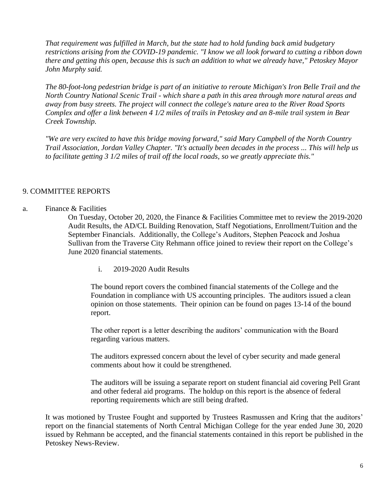*That requirement was fulfilled in March, but the state had to hold funding back amid budgetary restrictions arising from the COVID-19 pandemic. "I know we all look forward to cutting a ribbon down there and getting this open, because this is such an addition to what we already have," Petoskey Mayor John Murphy said.* 

*The 80-foot-long pedestrian bridge is part of an initiative to reroute Michigan's Iron Belle Trail and the North Country National Scenic Trail - which share a path in this area through more natural areas and away from busy streets. The project will connect the college's nature area to the River Road Sports Complex and offer a link between 4 1/2 miles of trails in Petoskey and an 8-mile trail system in Bear Creek Township.*

*"We are very excited to have this bridge moving forward," said Mary Campbell of the North Country Trail Association, Jordan Valley Chapter. "It's actually been decades in the process ... This will help us to facilitate getting 3 1/2 miles of trail off the local roads, so we greatly appreciate this."* 

### 9. COMMITTEE REPORTS

#### a. Finance & Facilities

On Tuesday, October 20, 2020, the Finance & Facilities Committee met to review the 2019-2020 Audit Results, the AD/CL Building Renovation, Staff Negotiations, Enrollment/Tuition and the September Financials. Additionally, the College's Auditors, Stephen Peacock and Joshua Sullivan from the Traverse City Rehmann office joined to review their report on the College's June 2020 financial statements.

i. 2019-2020 Audit Results

The bound report covers the combined financial statements of the College and the Foundation in compliance with US accounting principles. The auditors issued a clean opinion on those statements. Their opinion can be found on pages 13-14 of the bound report.

The other report is a letter describing the auditors' communication with the Board regarding various matters.

The auditors expressed concern about the level of cyber security and made general comments about how it could be strengthened.

The auditors will be issuing a separate report on student financial aid covering Pell Grant and other federal aid programs. The holdup on this report is the absence of federal reporting requirements which are still being drafted.

It was motioned by Trustee Fought and supported by Trustees Rasmussen and Kring that the auditors' report on the financial statements of North Central Michigan College for the year ended June 30, 2020 issued by Rehmann be accepted, and the financial statements contained in this report be published in the Petoskey News-Review.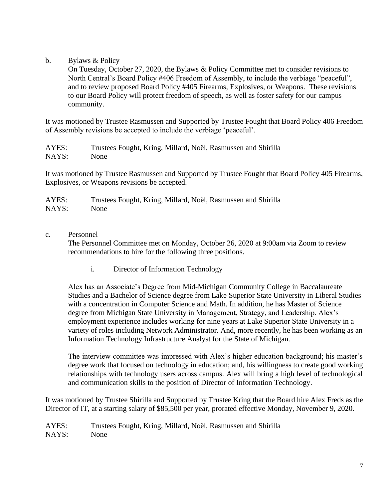b. Bylaws & Policy

On Tuesday, October 27, 2020, the Bylaws & Policy Committee met to consider revisions to North Central's Board Policy #406 Freedom of Assembly, to include the verbiage "peaceful", and to review proposed Board Policy #405 Firearms, Explosives, or Weapons. These revisions to our Board Policy will protect freedom of speech, as well as foster safety for our campus community.

It was motioned by Trustee Rasmussen and Supported by Trustee Fought that Board Policy 406 Freedom of Assembly revisions be accepted to include the verbiage 'peaceful'.

AYES: Trustees Fought, Kring, Millard, Noël, Rasmussen and Shirilla NAYS: None

It was motioned by Trustee Rasmussen and Supported by Trustee Fought that Board Policy 405 Firearms, Explosives, or Weapons revisions be accepted.

| AYES: | Trustees Fought, Kring, Millard, Noël, Rasmussen and Shirilla |
|-------|---------------------------------------------------------------|
| NAYS: | None                                                          |

c. Personnel

The Personnel Committee met on Monday, October 26, 2020 at 9:00am via Zoom to review recommendations to hire for the following three positions.

i. Director of Information Technology

Alex has an Associate's Degree from Mid-Michigan Community College in Baccalaureate Studies and a Bachelor of Science degree from Lake Superior State University in Liberal Studies with a concentration in Computer Science and Math. In addition, he has Master of Science degree from Michigan State University in Management, Strategy, and Leadership. Alex's employment experience includes working for nine years at Lake Superior State University in a variety of roles including Network Administrator. And, more recently, he has been working as an Information Technology Infrastructure Analyst for the State of Michigan.

The interview committee was impressed with Alex's higher education background; his master's degree work that focused on technology in education; and, his willingness to create good working relationships with technology users across campus. Alex will bring a high level of technological and communication skills to the position of Director of Information Technology.

It was motioned by Trustee Shirilla and Supported by Trustee Kring that the Board hire Alex Freds as the Director of IT, at a starting salary of \$85,500 per year, prorated effective Monday, November 9, 2020.

AYES: Trustees Fought, Kring, Millard, Noël, Rasmussen and Shirilla NAYS: None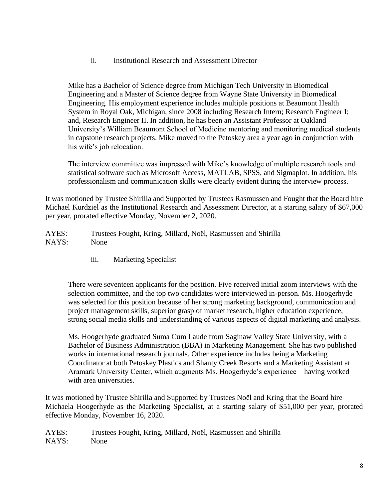ii. Institutional Research and Assessment Director

Mike has a Bachelor of Science degree from Michigan Tech University in Biomedical Engineering and a Master of Science degree from Wayne State University in Biomedical Engineering. His employment experience includes multiple positions at Beaumont Health System in Royal Oak, Michigan, since 2008 including Research Intern; Research Engineer I; and, Research Engineer II. In addition, he has been an Assistant Professor at Oakland University's William Beaumont School of Medicine mentoring and monitoring medical students in capstone research projects. Mike moved to the Petoskey area a year ago in conjunction with his wife's job relocation.

The interview committee was impressed with Mike's knowledge of multiple research tools and statistical software such as Microsoft Access, MATLAB, SPSS, and Sigmaplot. In addition, his professionalism and communication skills were clearly evident during the interview process.

It was motioned by Trustee Shirilla and Supported by Trustees Rasmussen and Fought that the Board hire Michael Kurdziel as the Institutional Research and Assessment Director, at a starting salary of \$67,000 per year, prorated effective Monday, November 2, 2020.

AYES: Trustees Fought, Kring, Millard, Noël, Rasmussen and Shirilla NAYS: None

iii. Marketing Specialist

There were seventeen applicants for the position. Five received initial zoom interviews with the selection committee, and the top two candidates were interviewed in-person. Ms. Hoogerhyde was selected for this position because of her strong marketing background, communication and project management skills, superior grasp of market research, higher education experience, strong social media skills and understanding of various aspects of digital marketing and analysis.

Ms. Hoogerhyde graduated Suma Cum Laude from Saginaw Valley State University, with a Bachelor of Business Administration (BBA) in Marketing Management. She has two published works in international research journals. Other experience includes being a Marketing Coordinator at both Petoskey Plastics and Shanty Creek Resorts and a Marketing Assistant at Aramark University Center, which augments Ms. Hoogerhyde's experience – having worked with area universities.

It was motioned by Trustee Shirilla and Supported by Trustees Noël and Kring that the Board hire Michaela Hoogerhyde as the Marketing Specialist, at a starting salary of \$51,000 per year, prorated effective Monday, November 16, 2020.

AYES: Trustees Fought, Kring, Millard, Noël, Rasmussen and Shirilla NAYS: None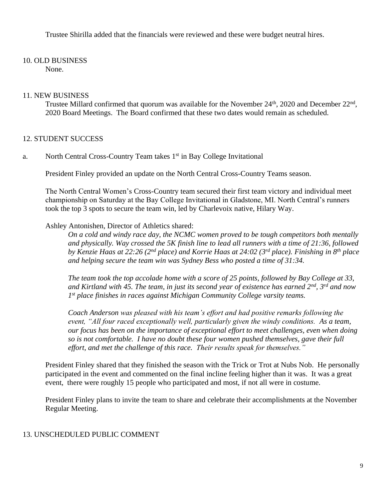Trustee Shirilla added that the financials were reviewed and these were budget neutral hires.

# 10. OLD BUSINESS

None.

## 11. NEW BUSINESS

Trustee Millard confirmed that quorum was available for the November 24<sup>th</sup>, 2020 and December 22<sup>nd</sup>, 2020 Board Meetings. The Board confirmed that these two dates would remain as scheduled.

# 12. STUDENT SUCCESS

a. North Central Cross-Country Team takes 1st in Bay College Invitational

President Finley provided an update on the North Central Cross-Country Teams season.

The North Central Women's Cross-Country team secured their first team victory and individual meet championship on Saturday at the Bay College Invitational in Gladstone, MI. North Central's runners took the top 3 spots to secure the team win, led by Charlevoix native, Hilary Way.

## Ashley Antonishen, Director of Athletics shared:

*On a cold and windy race day, the NCMC women proved to be tough competitors both mentally and physically. Way crossed the 5K finish line to lead all runners with a time of 21:36, followed by Kenzie Haas at 22:26 (2nd place) and Korrie Haas at 24:02 (3rd place). Finishing in 8th place and helping secure the team win was Sydney Bess who posted a time of 31:34.* 

*The team took the top accolade home with a score of 25 points, followed by Bay College at 33, and Kirtland with 45. The team, in just its second year of existence has earned 2nd, 3rd and now 1 st place finishes in races against Michigan Community College varsity teams.* 

*Coach Anderson was pleased with his team's effort and had positive remarks following the event, "All four raced exceptionally well, particularly given the windy conditions. As a team, our focus has been on the importance of exceptional effort to meet challenges, even when doing so is not comfortable. I have no doubt these four women pushed themselves, gave their full effort, and met the challenge of this race. Their results speak for themselves."*

President Finley shared that they finished the season with the Trick or Trot at Nubs Nob. He personally participated in the event and commented on the final incline feeling higher than it was. It was a great event, there were roughly 15 people who participated and most, if not all were in costume.

President Finley plans to invite the team to share and celebrate their accomplishments at the November Regular Meeting.

## 13. UNSCHEDULED PUBLIC COMMENT